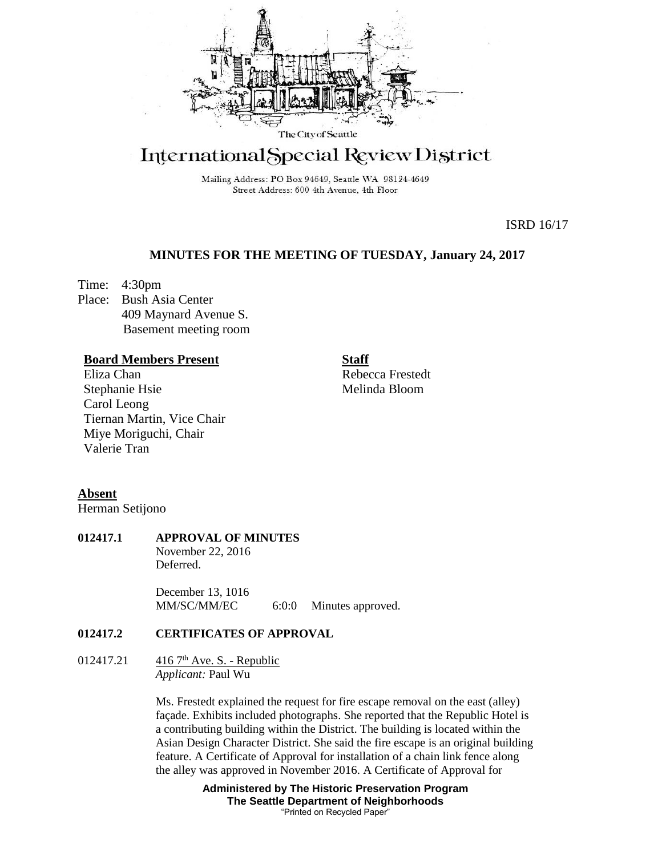

# International Special Review District

Mailing Address: PO Box 94649, Seattle WA 98124-4649 Street Address: 600 4th Avenue, 4th Floor

ISRD 16/17

# **MINUTES FOR THE MEETING OF TUESDAY, January 24, 2017**

Time: 4:30pm Place: Bush Asia Center 409 Maynard Avenue S. Basement meeting room

### **Board Members Present**

Eliza Chan Stephanie Hsie Carol Leong Tiernan Martin, Vice Chair Miye Moriguchi, Chair Valerie Tran

**Staff** Rebecca Frestedt

Melinda Bloom

#### **Absent**

Herman Setijono

## **012417.1 APPROVAL OF MINUTES**

November 22, 2016 Deferred.

December 13, 1016 MM/SC/MM/EC 6:0:0 Minutes approved.

# **012417.2 CERTIFICATES OF APPROVAL**

#### 012417.21  $416.7^{\text{th}}$  Ave. S. - Republic *Applicant:* Paul Wu

Ms. Frestedt explained the request for fire escape removal on the east (alley) façade. Exhibits included photographs. She reported that the Republic Hotel is a contributing building within the District. The building is located within the Asian Design Character District. She said the fire escape is an original building feature. A Certificate of Approval for installation of a chain link fence along the alley was approved in November 2016. A Certificate of Approval for

> **Administered by The Historic Preservation Program The Seattle Department of Neighborhoods** "Printed on Recycled Paper"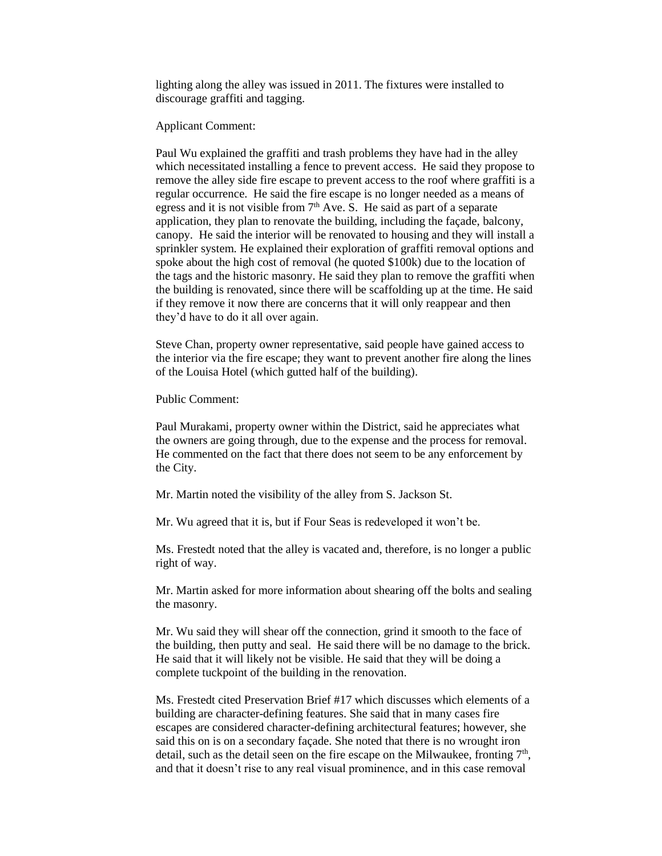lighting along the alley was issued in 2011. The fixtures were installed to discourage graffiti and tagging.

Applicant Comment:

Paul Wu explained the graffiti and trash problems they have had in the alley which necessitated installing a fence to prevent access. He said they propose to remove the alley side fire escape to prevent access to the roof where graffiti is a regular occurrence. He said the fire escape is no longer needed as a means of egress and it is not visible from  $7<sup>th</sup>$  Ave. S. He said as part of a separate application, they plan to renovate the building, including the façade, balcony, canopy. He said the interior will be renovated to housing and they will install a sprinkler system. He explained their exploration of graffiti removal options and spoke about the high cost of removal (he quoted \$100k) due to the location of the tags and the historic masonry. He said they plan to remove the graffiti when the building is renovated, since there will be scaffolding up at the time. He said if they remove it now there are concerns that it will only reappear and then they'd have to do it all over again.

Steve Chan, property owner representative, said people have gained access to the interior via the fire escape; they want to prevent another fire along the lines of the Louisa Hotel (which gutted half of the building).

Public Comment:

Paul Murakami, property owner within the District, said he appreciates what the owners are going through, due to the expense and the process for removal. He commented on the fact that there does not seem to be any enforcement by the City.

Mr. Martin noted the visibility of the alley from S. Jackson St.

Mr. Wu agreed that it is, but if Four Seas is redeveloped it won't be.

Ms. Frestedt noted that the alley is vacated and, therefore, is no longer a public right of way.

Mr. Martin asked for more information about shearing off the bolts and sealing the masonry.

Mr. Wu said they will shear off the connection, grind it smooth to the face of the building, then putty and seal. He said there will be no damage to the brick. He said that it will likely not be visible. He said that they will be doing a complete tuckpoint of the building in the renovation.

Ms. Frestedt cited Preservation Brief #17 which discusses which elements of a building are character-defining features. She said that in many cases fire escapes are considered character-defining architectural features; however, she said this on is on a secondary façade. She noted that there is no wrought iron detail, such as the detail seen on the fire escape on the Milwaukee, fronting  $7<sup>th</sup>$ , and that it doesn't rise to any real visual prominence, and in this case removal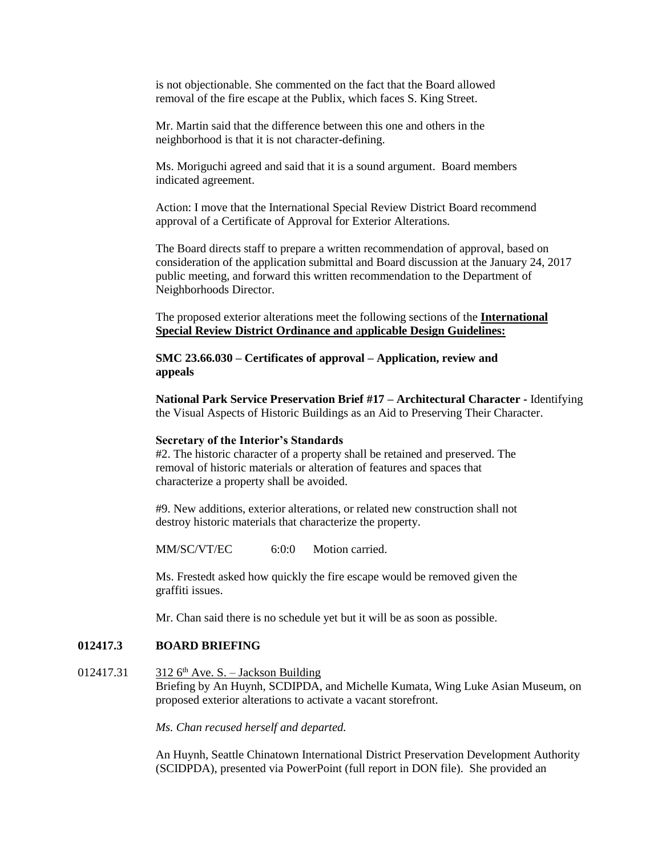is not objectionable. She commented on the fact that the Board allowed removal of the fire escape at the Publix, which faces S. King Street.

Mr. Martin said that the difference between this one and others in the neighborhood is that it is not character-defining.

Ms. Moriguchi agreed and said that it is a sound argument. Board members indicated agreement.

Action: I move that the International Special Review District Board recommend approval of a Certificate of Approval for Exterior Alterations*.*

The Board directs staff to prepare a written recommendation of approval, based on consideration of the application submittal and Board discussion at the January 24, 2017 public meeting, and forward this written recommendation to the Department of Neighborhoods Director.

The proposed exterior alterations meet the following sections of the **International Special Review District Ordinance and** a**pplicable Design Guidelines:**

**SMC 23.66.030 – Certificates of approval – Application, review and appeals**

**National Park Service Preservation Brief #17 – Architectural Character -** Identifying the Visual Aspects of Historic Buildings as an Aid to Preserving Their Character.

#### **Secretary of the Interior's Standards**

#2. The historic character of a property shall be retained and preserved. The removal of historic materials or alteration of features and spaces that characterize a property shall be avoided.

#9. New additions, exterior alterations, or related new construction shall not destroy historic materials that characterize the property.

MM/SC/VT/EC 6:0:0 Motion carried.

Ms. Frestedt asked how quickly the fire escape would be removed given the graffiti issues.

Mr. Chan said there is no schedule yet but it will be as soon as possible.

#### **012417.3 BOARD BRIEFING**

012417.31  $3126<sup>th</sup>$  Ave. S. – Jackson Building Briefing by An Huynh, SCDIPDA, and Michelle Kumata, Wing Luke Asian Museum, on proposed exterior alterations to activate a vacant storefront.

*Ms. Chan recused herself and departed.*

An Huynh, Seattle Chinatown International District Preservation Development Authority (SCIDPDA), presented via PowerPoint (full report in DON file). She provided an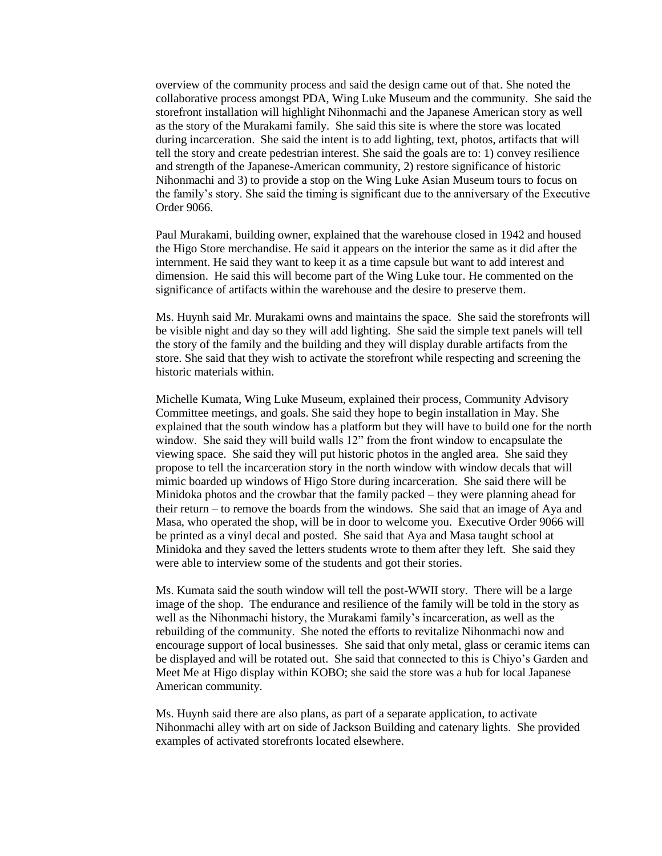overview of the community process and said the design came out of that. She noted the collaborative process amongst PDA, Wing Luke Museum and the community. She said the storefront installation will highlight Nihonmachi and the Japanese American story as well as the story of the Murakami family. She said this site is where the store was located during incarceration. She said the intent is to add lighting, text, photos, artifacts that will tell the story and create pedestrian interest. She said the goals are to: 1) convey resilience and strength of the Japanese-American community, 2) restore significance of historic Nihonmachi and 3) to provide a stop on the Wing Luke Asian Museum tours to focus on the family's story. She said the timing is significant due to the anniversary of the Executive Order 9066.

Paul Murakami, building owner, explained that the warehouse closed in 1942 and housed the Higo Store merchandise. He said it appears on the interior the same as it did after the internment. He said they want to keep it as a time capsule but want to add interest and dimension. He said this will become part of the Wing Luke tour. He commented on the significance of artifacts within the warehouse and the desire to preserve them.

Ms. Huynh said Mr. Murakami owns and maintains the space. She said the storefronts will be visible night and day so they will add lighting. She said the simple text panels will tell the story of the family and the building and they will display durable artifacts from the store. She said that they wish to activate the storefront while respecting and screening the historic materials within.

Michelle Kumata, Wing Luke Museum, explained their process, Community Advisory Committee meetings, and goals. She said they hope to begin installation in May. She explained that the south window has a platform but they will have to build one for the north window. She said they will build walls 12" from the front window to encapsulate the viewing space. She said they will put historic photos in the angled area. She said they propose to tell the incarceration story in the north window with window decals that will mimic boarded up windows of Higo Store during incarceration. She said there will be Minidoka photos and the crowbar that the family packed – they were planning ahead for their return – to remove the boards from the windows. She said that an image of Aya and Masa, who operated the shop, will be in door to welcome you. Executive Order 9066 will be printed as a vinyl decal and posted. She said that Aya and Masa taught school at Minidoka and they saved the letters students wrote to them after they left. She said they were able to interview some of the students and got their stories.

Ms. Kumata said the south window will tell the post-WWII story. There will be a large image of the shop. The endurance and resilience of the family will be told in the story as well as the Nihonmachi history, the Murakami family's incarceration, as well as the rebuilding of the community. She noted the efforts to revitalize Nihonmachi now and encourage support of local businesses. She said that only metal, glass or ceramic items can be displayed and will be rotated out. She said that connected to this is Chiyo's Garden and Meet Me at Higo display within KOBO; she said the store was a hub for local Japanese American community.

Ms. Huynh said there are also plans, as part of a separate application, to activate Nihonmachi alley with art on side of Jackson Building and catenary lights. She provided examples of activated storefronts located elsewhere.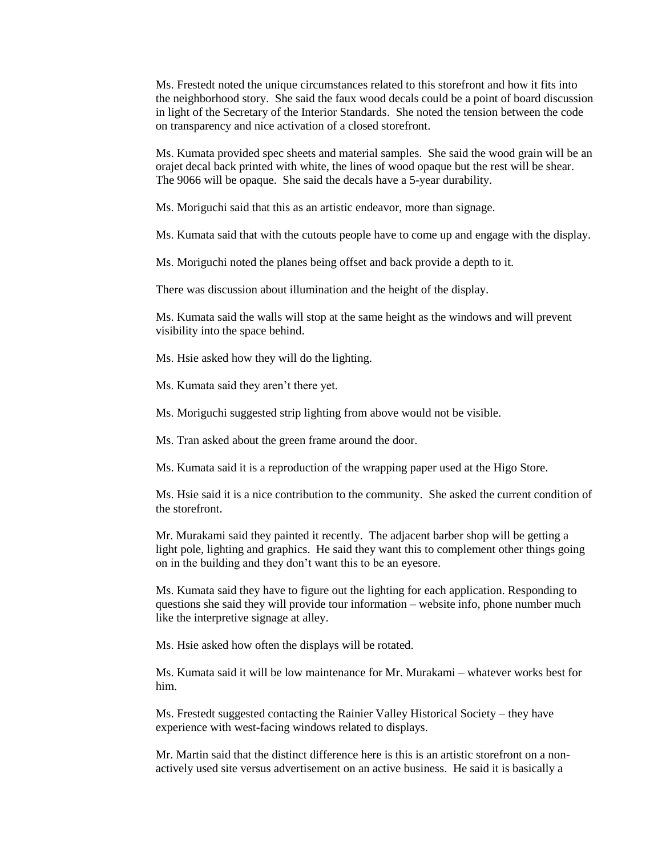Ms. Frestedt noted the unique circumstances related to this storefront and how it fits into the neighborhood story. She said the faux wood decals could be a point of board discussion in light of the Secretary of the Interior Standards. She noted the tension between the code on transparency and nice activation of a closed storefront.

Ms. Kumata provided spec sheets and material samples. She said the wood grain will be an orajet decal back printed with white, the lines of wood opaque but the rest will be shear. The 9066 will be opaque. She said the decals have a 5-year durability.

Ms. Moriguchi said that this as an artistic endeavor, more than signage.

Ms. Kumata said that with the cutouts people have to come up and engage with the display.

Ms. Moriguchi noted the planes being offset and back provide a depth to it.

There was discussion about illumination and the height of the display.

Ms. Kumata said the walls will stop at the same height as the windows and will prevent visibility into the space behind.

Ms. Hsie asked how they will do the lighting.

Ms. Kumata said they aren't there yet.

Ms. Moriguchi suggested strip lighting from above would not be visible.

Ms. Tran asked about the green frame around the door.

Ms. Kumata said it is a reproduction of the wrapping paper used at the Higo Store.

Ms. Hsie said it is a nice contribution to the community. She asked the current condition of the storefront.

Mr. Murakami said they painted it recently. The adjacent barber shop will be getting a light pole, lighting and graphics. He said they want this to complement other things going on in the building and they don't want this to be an eyesore.

Ms. Kumata said they have to figure out the lighting for each application. Responding to questions she said they will provide tour information – website info, phone number much like the interpretive signage at alley.

Ms. Hsie asked how often the displays will be rotated.

Ms. Kumata said it will be low maintenance for Mr. Murakami – whatever works best for him.

Ms. Frestedt suggested contacting the Rainier Valley Historical Society – they have experience with west-facing windows related to displays.

Mr. Martin said that the distinct difference here is this is an artistic storefront on a nonactively used site versus advertisement on an active business. He said it is basically a